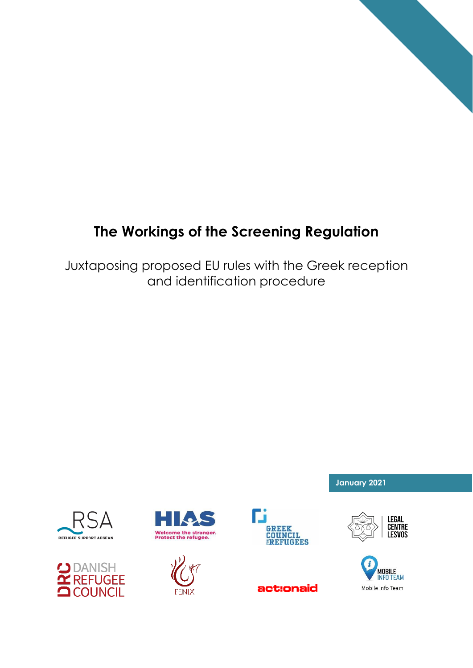# **The Workings of the Screening Regulation**

Juxtaposing proposed EU rules with the Greek reception and identification procedure











act:onaid



**January 2021**

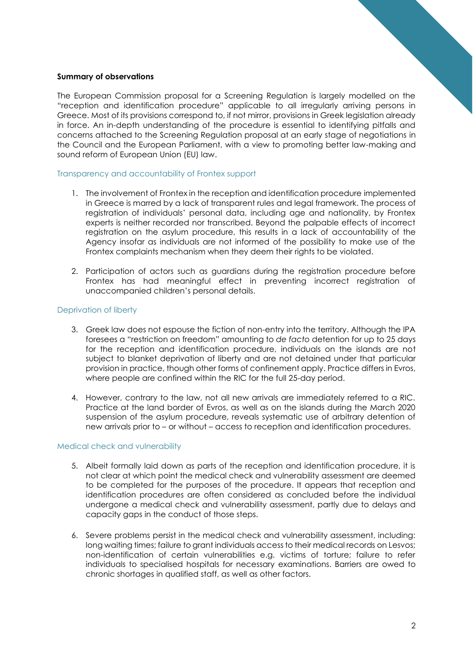## **Summary of observations**

The European Commission proposal for a Screening Regulation is largely modelled on the "reception and identification procedure" applicable to all irregularly arriving persons in Greece. Most of its provisions correspond to, if not mirror, provisions in Greek legislation already in force. An in-depth understanding of the procedure is essential to identifying pitfalls and concerns attached to the Screening Regulation proposal at an early stage of negotiations in the Council and the European Parliament, with a view to promoting better law-making and sound reform of European Union (EU) law.

### Transparency and accountability of Frontex support

- 1. The involvement of Frontex in the reception and identification procedure implemented in Greece is marred by a lack of transparent rules and legal framework. The process of registration of individuals' personal data, including age and nationality, by Frontex experts is neither recorded nor transcribed. Beyond the palpable effects of incorrect registration on the asylum procedure, this results in a lack of accountability of the Agency insofar as individuals are not informed of the possibility to make use of the Frontex complaints mechanism when they deem their rights to be violated.
- 2. Participation of actors such as guardians during the registration procedure before Frontex has had meaningful effect in preventing incorrect registration of unaccompanied children's personal details.

## Deprivation of liberty

- 3. Greek law does not espouse the fiction of non-entry into the territory. Although the IPA foresees a "restriction on freedom" amounting to *de facto* detention for up to 25 days for the reception and identification procedure, individuals on the islands are not subject to blanket deprivation of liberty and are not detained under that particular provision in practice, though other forms of confinement apply. Practice differs in Evros, where people are confined within the RIC for the full 25-day period.
- 4. However, contrary to the law, not all new arrivals are immediately referred to a RIC. Practice at the land border of Evros, as well as on the islands during the March 2020 suspension of the asylum procedure, reveals systematic use of arbitrary detention of new arrivals prior to – or without – access to reception and identification procedures.

#### Medical check and vulnerability

- 5. Albeit formally laid down as parts of the reception and identification procedure, it is not clear at which point the medical check and vulnerability assessment are deemed to be completed for the purposes of the procedure. It appears that reception and identification procedures are often considered as concluded before the individual undergone a medical check and vulnerability assessment, partly due to delays and capacity gaps in the conduct of those steps.
- 6. Severe problems persist in the medical check and vulnerability assessment, including: long waiting times; failure to grant individuals access to their medical records on Lesvos; non-identification of certain vulnerabilities e.g. victims of torture; failure to refer individuals to specialised hospitals for necessary examinations. Barriers are owed to chronic shortages in qualified staff, as well as other factors.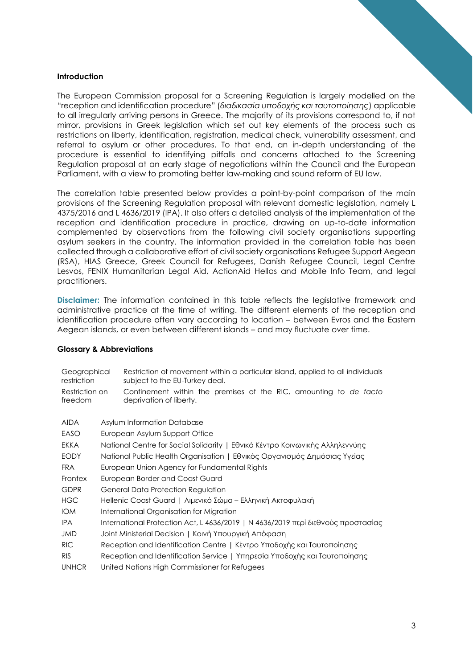# **Introduction**

The European Commission proposal for a Screening Regulation is largely modelled on the "reception and identification procedure" (*διαδικασία υποδοχής και ταυτοποίησης*) applicable to all irregularly arriving persons in Greece. The majority of its provisions correspond to, if not mirror, provisions in Greek legislation which set out key elements of the process such as restrictions on liberty, identification, registration, medical check, vulnerability assessment, and referral to asylum or other procedures. To that end, an in-depth understanding of the procedure is essential to identifying pitfalls and concerns attached to the Screening Regulation proposal at an early stage of negotiations within the Council and the European Parliament, with a view to promoting better law-making and sound reform of EU law.

The correlation table presented below provides a point-by-point comparison of the main provisions of the Screening Regulation proposal with relevant domestic legislation, namely L 4375/2016 and L 4636/2019 (IPA). It also offers a detailed analysis of the implementation of the reception and identification procedure in practice, drawing on up-to-date information complemented by observations from the following civil society organisations supporting asylum seekers in the country. The information provided in the correlation table has been collected through a collaborative effort of civil society organisations Refugee Support Aegean (RSA), HIAS Greece, Greek Council for Refugees, Danish Refugee Council, Legal Centre Lesvos, FENIX Humanitarian Legal Aid, ActionAid Hellas and Mobile Info Team, and legal practitioners.

**Disclaimer:** The information contained in this table reflects the legislative framework and administrative practice at the time of writing. The different elements of the reception and identification procedure often vary according to location – between Evros and the Eastern Aegean islands, or even between different islands – and may fluctuate over time.

# **Glossary & Abbreviations**

| Geographical<br>restriction<br>Restriction on<br>freedom |                                                                                  | Restriction of movement within a particular island, applied to all individuals<br>subject to the EU-Turkey deal.<br>Confinement within the premises of the RIC, amounting to de facto<br>deprivation of liberty. |
|----------------------------------------------------------|----------------------------------------------------------------------------------|------------------------------------------------------------------------------------------------------------------------------------------------------------------------------------------------------------------|
| <b>AIDA</b>                                              |                                                                                  | Asylum Information Database                                                                                                                                                                                      |
| EASO                                                     |                                                                                  | European Asylum Support Office                                                                                                                                                                                   |
| EKKA                                                     |                                                                                  | National Centre for Social Solidarity   Εθνικό Κέντρο Κοινωνικής Αλληλεγγύης                                                                                                                                     |
| <b>EODY</b>                                              |                                                                                  | National Public Health Organisation   Εθνικός Οργανισμός Δημόσιας Υγείας                                                                                                                                         |
| <b>FRA</b>                                               |                                                                                  | European Union Agency for Fundamental Rights                                                                                                                                                                     |
| Frontex                                                  |                                                                                  | European Border and Coast Guard                                                                                                                                                                                  |
| <b>GDPR</b>                                              |                                                                                  | General Data Protection Regulation                                                                                                                                                                               |
| <b>HGC</b>                                               |                                                                                  | Hellenic Coast Guard   Λιμενικό Σώμα – Ελληνική Ακτοφυλακή                                                                                                                                                       |
| <b>IOM</b>                                               | International Organisation for Migration                                         |                                                                                                                                                                                                                  |
| <b>IPA</b>                                               | International Protection Act, L 4636/2019   Ν 4636/2019 περί διεθνούς προστασίας |                                                                                                                                                                                                                  |
| JMD                                                      | Joint Ministerial Decision   Κοινή Υπουργική Απόφαση                             |                                                                                                                                                                                                                  |
| <b>RIC</b>                                               | Reception and Identification Centre   Κέντρο Υποδοχής και Ταυτοποίησης           |                                                                                                                                                                                                                  |
| <b>RIS</b>                                               | Reception and Identification Service   Υπηρεσία Υποδοχής και Ταυτοποίησης        |                                                                                                                                                                                                                  |
| <b>UNHCR</b>                                             |                                                                                  | United Nations High Commissioner for Refugees                                                                                                                                                                    |
|                                                          |                                                                                  |                                                                                                                                                                                                                  |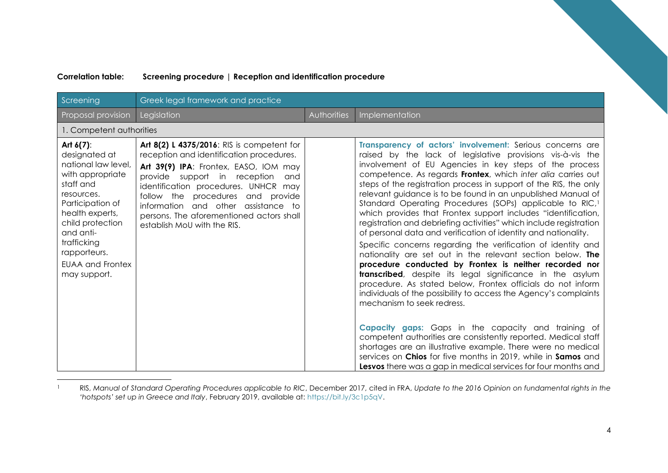| Screening                                                                                                                                                                                                                                             | Greek legal framework and practice                                                                                                                                                                                                                                                                                                                                       |             |                                                                                                                                                                                                                                                                                                                                                                                                                                                                                                                                                                                                                                                                                                                                                                                                                                                                                                                                                                                                                                                                                                                                                                                                                                                                                                                                                                                                                                  |
|-------------------------------------------------------------------------------------------------------------------------------------------------------------------------------------------------------------------------------------------------------|--------------------------------------------------------------------------------------------------------------------------------------------------------------------------------------------------------------------------------------------------------------------------------------------------------------------------------------------------------------------------|-------------|----------------------------------------------------------------------------------------------------------------------------------------------------------------------------------------------------------------------------------------------------------------------------------------------------------------------------------------------------------------------------------------------------------------------------------------------------------------------------------------------------------------------------------------------------------------------------------------------------------------------------------------------------------------------------------------------------------------------------------------------------------------------------------------------------------------------------------------------------------------------------------------------------------------------------------------------------------------------------------------------------------------------------------------------------------------------------------------------------------------------------------------------------------------------------------------------------------------------------------------------------------------------------------------------------------------------------------------------------------------------------------------------------------------------------------|
| Proposal provision                                                                                                                                                                                                                                    | Legislation                                                                                                                                                                                                                                                                                                                                                              | Authorities | Implementation                                                                                                                                                                                                                                                                                                                                                                                                                                                                                                                                                                                                                                                                                                                                                                                                                                                                                                                                                                                                                                                                                                                                                                                                                                                                                                                                                                                                                   |
| 1. Competent authorities                                                                                                                                                                                                                              |                                                                                                                                                                                                                                                                                                                                                                          |             |                                                                                                                                                                                                                                                                                                                                                                                                                                                                                                                                                                                                                                                                                                                                                                                                                                                                                                                                                                                                                                                                                                                                                                                                                                                                                                                                                                                                                                  |
| Art $6(7)$ :<br>designated at<br>national law level.<br>with appropriate<br>staff and<br>resources.<br>Participation of<br>health experts,<br>child protection<br>and anti-<br>trafficking<br>rapporteurs.<br><b>EUAA and Frontex</b><br>may support. | Art 8(2) L 4375/2016: RIS is competent for<br>reception and identification procedures.<br>Art 39(9) IPA: Frontex, EASO, IOM may<br>provide support in reception<br>and<br>identification procedures. UNHCR may<br>follow the procedures<br>and provide<br>information and other assistance to<br>persons. The aforementioned actors shall<br>establish MoU with the RIS. |             | Transparency of actors' involvement: Serious concerns are<br>raised by the lack of legislative provisions vis-à-vis the<br>involvement of EU Agencies in key steps of the process<br>competence. As regards Frontex, which inter alia carries out<br>steps of the registration process in support of the RIS, the only<br>relevant guidance is to be found in an unpublished Manual of<br>Standard Operating Procedures (SOPs) applicable to RIC, <sup>1</sup><br>which provides that Frontex support includes "identification,<br>registration and debriefing activities" which include registration<br>of personal data and verification of identity and nationality.<br>Specific concerns regarding the verification of identity and<br>nationality are set out in the relevant section below. The<br>procedure conducted by Frontex is neither recorded nor<br>transcribed, despite its legal significance in the asylum<br>procedure. As stated below, Frontex officials do not inform<br>individuals of the possibility to access the Agency's complaints<br>mechanism to seek redress.<br><b>Capacity gaps:</b> Gaps in the capacity and training of<br>competent authorities are consistently reported. Medical staff<br>shortages are an illustrative example. There were no medical<br>services on Chios for five months in 2019, while in Samos and<br>Lesvos there was a gap in medical services for four months and |

## **Correlation table: Screening procedure | Reception and identification procedure**

<sup>1</sup> RIS, *Manual of Standard Operating Procedures applicable to RIC*, December 2017, cited in FRA, *Update to the 2016 Opinion on fundamental rights in the 'hotspots' set up in Greece and Italy*, February 2019, available at: [https://bit.ly/3c1p5qV.](https://bit.ly/3c1p5qV)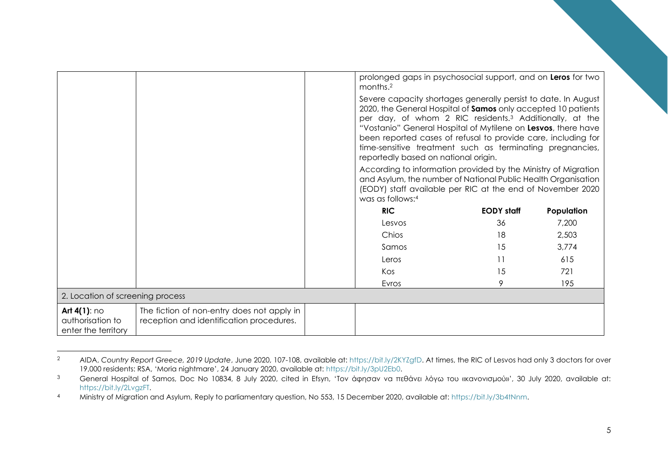|                                                            |                                                                                        | prolonged gaps in psychosocial support, and on Leros for two<br>months. <sup>2</sup>                                                                                                                                                                                                                                                                                                                                                          |                   |            |
|------------------------------------------------------------|----------------------------------------------------------------------------------------|-----------------------------------------------------------------------------------------------------------------------------------------------------------------------------------------------------------------------------------------------------------------------------------------------------------------------------------------------------------------------------------------------------------------------------------------------|-------------------|------------|
|                                                            |                                                                                        | Severe capacity shortages generally persist to date. In August<br>2020, the General Hospital of Samos only accepted 10 patients<br>per day, of whom 2 RIC residents. <sup>3</sup> Additionally, at the<br>"Vostanio" General Hospital of Mytilene on Lesvos, there have<br>been reported cases of refusal to provide care, including for<br>time-sensitive treatment such as terminating pregnancies,<br>reportedly based on national origin. |                   |            |
|                                                            |                                                                                        | According to information provided by the Ministry of Migration<br>and Asylum, the number of National Public Health Organisation<br>(EODY) staff available per RIC at the end of November 2020<br>was as follows:4                                                                                                                                                                                                                             |                   |            |
|                                                            |                                                                                        | <b>RIC</b>                                                                                                                                                                                                                                                                                                                                                                                                                                    | <b>EODY</b> staff | Population |
|                                                            |                                                                                        | Lesvos                                                                                                                                                                                                                                                                                                                                                                                                                                        | 36                | 7,200      |
|                                                            |                                                                                        | Chios                                                                                                                                                                                                                                                                                                                                                                                                                                         | 18                | 2,503      |
|                                                            |                                                                                        | Samos                                                                                                                                                                                                                                                                                                                                                                                                                                         | 15                | 3,774      |
|                                                            |                                                                                        | Leros                                                                                                                                                                                                                                                                                                                                                                                                                                         | 11                | 615        |
|                                                            |                                                                                        | Kos                                                                                                                                                                                                                                                                                                                                                                                                                                           | 15                | 721        |
|                                                            |                                                                                        | Evros                                                                                                                                                                                                                                                                                                                                                                                                                                         | 9                 | 195        |
| 2. Location of screening process                           |                                                                                        |                                                                                                                                                                                                                                                                                                                                                                                                                                               |                   |            |
| Art $4(1)$ : no<br>authorisation to<br>enter the territory | The fiction of non-entry does not apply in<br>reception and identification procedures. |                                                                                                                                                                                                                                                                                                                                                                                                                                               |                   |            |

<sup>2</sup> AIDA, *Country Report Greece, 2019 Update*, June 2020, 107-108, available at: [https://bit.ly/2KYZgfD.](https://bit.ly/2KYZgfD) At times, the RIC of Lesvos had only 3 doctors for over 19,000 residents: RSA, 'Moria nightmare', 24 January 2020, available at: [https://bit.ly/3pU2Eb0.](https://bit.ly/3pU2Eb0)

<sup>3</sup> General Hospital of Samos, Doc No 10834, 8 July 2020, cited in Efsyn, 'Τον άφησαν να πεθάνει λόγω του «κανονισμού»', 30 July 2020, available at: [https://bit.ly/2LvgzFT.](https://bit.ly/2LvgzFT)

<sup>4</sup> Ministry of Migration and Asylum, Reply to parliamentary question, No 553, 15 December 2020, available at: [https://bit.ly/3b4tNnm.](https://bit.ly/3b4tNnm)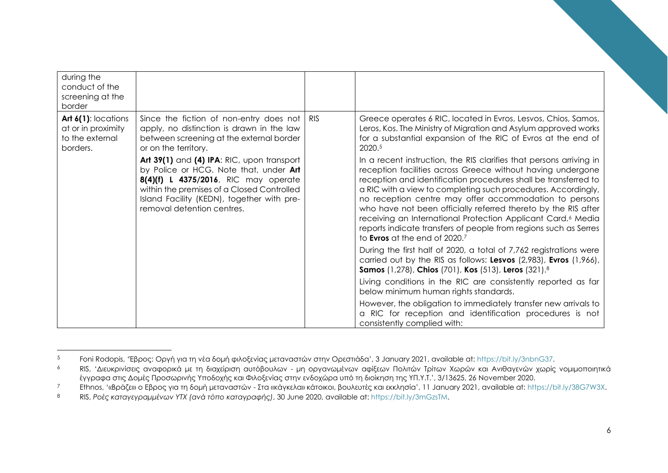| during the<br>conduct of the<br>screening at the<br>border               |                                                                                                                                                                                                                                                        |                                                                                                                                                                                                                                                                                                                                                                                                                                                                                                                                                                                                        |
|--------------------------------------------------------------------------|--------------------------------------------------------------------------------------------------------------------------------------------------------------------------------------------------------------------------------------------------------|--------------------------------------------------------------------------------------------------------------------------------------------------------------------------------------------------------------------------------------------------------------------------------------------------------------------------------------------------------------------------------------------------------------------------------------------------------------------------------------------------------------------------------------------------------------------------------------------------------|
| Art 6(1): locations<br>at or in proximity<br>to the external<br>borders. | Since the fiction of non-entry does not   RIS<br>apply, no distinction is drawn in the law<br>between screening at the external border<br>or on the territory.                                                                                         | Greece operates 6 RIC, located in Evros, Lesvos, Chios, Samos,<br>Leros, Kos. The Ministry of Migration and Asylum approved works<br>for a substantial expansion of the RIC of Evros at the end of<br>2020.5                                                                                                                                                                                                                                                                                                                                                                                           |
|                                                                          | Art 39(1) and (4) IPA: RIC, upon transport<br>by Police or HCG. Note that, under Art<br>8(4)(f) L 4375/2016, RIC may operate<br>within the premises of a Closed Controlled<br>Island Facility (KEDN), together with pre-<br>removal detention centres. | In a recent instruction, the RIS clarifies that persons arriving in<br>reception facilities across Greece without having undergone<br>reception and identification procedures shall be transferred to<br>a RIC with a view to completing such procedures. Accordingly,<br>no reception centre may offer accommodation to persons<br>who have not been officially referred thereto by the RIS after<br>receiving an International Protection Applicant Card. <sup>6</sup> Media<br>reports indicate transfers of people from regions such as Serres<br>to <b>Evros</b> at the end of 2020. <sup>7</sup> |
|                                                                          |                                                                                                                                                                                                                                                        | During the first half of 2020, a total of 7,762 registrations were<br>carried out by the RIS as follows: Lesvos (2,983), Evros (1,966),<br><b>Samos</b> (1,278), Chios (701), Kos (513), Leros (321).8                                                                                                                                                                                                                                                                                                                                                                                                 |
|                                                                          |                                                                                                                                                                                                                                                        | Living conditions in the RIC are consistently reported as far<br>below minimum human rights standards.                                                                                                                                                                                                                                                                                                                                                                                                                                                                                                 |
|                                                                          |                                                                                                                                                                                                                                                        | However, the obligation to immediately transfer new arrivals to<br>a RIC for reception and identification procedures is not<br>consistently complied with:                                                                                                                                                                                                                                                                                                                                                                                                                                             |

<sup>5</sup> Foni Rodopis, 'Έβρος: Οργή για τη νέα δομή φιλοξενίας μεταναστών στην Ορεστιάδα', 3 January 2021, available at: [https://bit.ly/3nbnG37.](https://bit.ly/3nbnG37)

<sup>6</sup> RIS, 'Διευκρινίσεις αναφορικά με τη διαχείριση αυτόβουλων - μη οργανωμένων αφίξεων Πολιτών Τρίτων Χωρών και Ανιθαγενών χωρίς νομιμοποιητικά έγγραφα στις Δομές Προσωρινής Υποδοχής και Φιλοξενίας στην ενδοχώρα υπό τη διοίκηση της ΥΠ.Υ.Τ.', 3/13625, 26 November 2020.

<sup>7</sup> Ethnos, '«Βράζει» ο Εβρος για τη δομή μεταναστών - Στα «κάγκελα» κάτοικοι, βουλευτές και εκκλησία', 11 January 2021, available at: [https://bit.ly/38G7W3X.](https://bit.ly/38G7W3X)

<sup>8</sup> RIS, *Ροές καταγεγραμμένων ΥΤΧ (ανά τόπο καταγραφής)*, 30 June 2020, available at[: https://bit.ly/3mGzsTM.](https://bit.ly/3mGzsTM)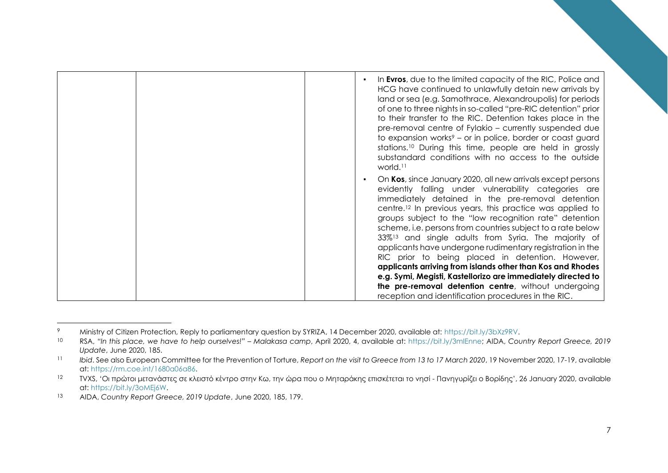| In Evros, due to the limited capacity of the RIC, Police and<br>HCG have continued to unlawfully detain new arrivals by<br>land or sea (e.g. Samothrace, Alexandroupolis) for periods<br>of one to three nights in so-called "pre-RIC detention" prior<br>to their transfer to the RIC. Detention takes place in the<br>pre-removal centre of Fylakio – currently suspended due<br>to expansion works <sup>9</sup> – or in police, border or coast guard<br>stations. <sup>10</sup> During this time, people are held in grossly<br>substandard conditions with no access to the outside<br>world. <sup>11</sup>                                                                                                                                     |
|------------------------------------------------------------------------------------------------------------------------------------------------------------------------------------------------------------------------------------------------------------------------------------------------------------------------------------------------------------------------------------------------------------------------------------------------------------------------------------------------------------------------------------------------------------------------------------------------------------------------------------------------------------------------------------------------------------------------------------------------------|
| On Kos, since January 2020, all new arrivals except persons<br>evidently falling under vulnerability categories are<br>immediately detained in the pre-removal detention<br>centre. <sup>12</sup> In previous years, this practice was applied to<br>groups subject to the "low recognition rate" detention<br>scheme, i.e. persons from countries subject to a rate below<br>33% <sup>13</sup> and single adults from Syria. The majority of<br>applicants have undergone rudimentary registration in the<br>RIC prior to being placed in detention. However,<br>applicants arriving from islands other than Kos and Rhodes<br>e.g. Symi, Megisti, Kastellorizo are immediately directed to<br>the pre-removal detention centre, without undergoing |
| reception and identification procedures in the RIC.                                                                                                                                                                                                                                                                                                                                                                                                                                                                                                                                                                                                                                                                                                  |

<sup>9</sup> Ministry of Citizen Protection, Reply to parliamentary question by SYRIZA, 14 December 2020, available at: [https://bit.ly/3bXz9RV.](https://bit.ly/3bXz9RV)

<sup>10</sup> RSA, *"In this place, we have to help ourselves!" – Malakasa camp*, April 2020, 4, available at: [https://bit.ly/3mIEnne;](https://bit.ly/3mIEnne) AIDA, *Country Report Greece, 2019 Update*, June 2020, 185.

<sup>&</sup>lt;sup>11</sup> *Ibid.* See also European Committee for the Prevention of Torture, Report on the visit to Greece from 13 to 17 March 2020, 19 November 2020, 17-19, available at[: https://rm.coe.int/1680a06a86.](https://rm.coe.int/1680a06a86)

<sup>12</sup> TVXS, 'Οι πρώτοι μετανάστες σε κλειστό κέντρο στην Κω, την ώρα που ο Μηταράκης επισκέτεται το νησί - Πανηγυρίζει ο Βορίδης', 26 January 2020, available at[: https://bit.ly/3oMEj6W.](https://bit.ly/3oMEj6W)

<sup>13</sup> AIDA, *Country Report Greece, 2019 Update*, June 2020, 185, 179.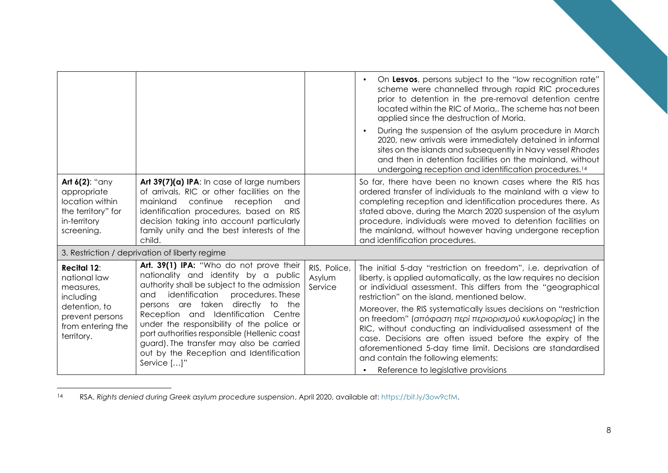| applied since the destruction of Moria.<br>Art $6(2)$ : "any<br>Art 39(7)(a) IPA: In case of large numbers<br>of arrivals, RIC or other facilities on the<br>appropriate<br>location within<br>mainland<br>continue<br>reception<br>and<br>the territory" for<br>identification procedures, based on RIS<br>in-territory<br>decision taking into account particularly                                                                                                                                                                                                                                                                                                                                                                                                 |  |                                                                                                                                                                                                                                                                                                                                                                                                                                                                                                                                                               |
|-----------------------------------------------------------------------------------------------------------------------------------------------------------------------------------------------------------------------------------------------------------------------------------------------------------------------------------------------------------------------------------------------------------------------------------------------------------------------------------------------------------------------------------------------------------------------------------------------------------------------------------------------------------------------------------------------------------------------------------------------------------------------|--|---------------------------------------------------------------------------------------------------------------------------------------------------------------------------------------------------------------------------------------------------------------------------------------------------------------------------------------------------------------------------------------------------------------------------------------------------------------------------------------------------------------------------------------------------------------|
|                                                                                                                                                                                                                                                                                                                                                                                                                                                                                                                                                                                                                                                                                                                                                                       |  | On Lesvos, persons subject to the "low recognition rate"<br>scheme were channelled through rapid RIC procedures<br>prior to detention in the pre-removal detention centre<br>located within the RIC of Moria,. The scheme has not been<br>During the suspension of the asylum procedure in March<br>2020, new arrivals were immediately detained in informal<br>sites on the islands and subsequently in Navy vessel Rhodes<br>and then in detention facilities on the mainland, without<br>undergoing reception and identification procedures. <sup>14</sup> |
| family unity and the best interests of the<br>screening.<br>child.<br>and identification procedures.                                                                                                                                                                                                                                                                                                                                                                                                                                                                                                                                                                                                                                                                  |  | So far, there have been no known cases where the RIS has<br>ordered transfer of individuals to the mainland with a view to<br>completing reception and identification procedures there. As<br>stated above, during the March 2020 suspension of the asylum<br>procedure, individuals were moved to detention facilities on<br>the mainland, without however having undergone reception                                                                                                                                                                        |
| 3. Restriction / deprivation of liberty regime                                                                                                                                                                                                                                                                                                                                                                                                                                                                                                                                                                                                                                                                                                                        |  |                                                                                                                                                                                                                                                                                                                                                                                                                                                                                                                                                               |
| Art. 39(1) IPA: "Who do not prove their<br>RIS, Police,<br><b>Recital 12:</b><br>nationality and identity by a public<br>Asylum<br>national law<br>authority shall be subject to the admission<br>Service<br>measures,<br>identification<br>procedures. These<br>and<br>restriction" on the island, mentioned below.<br>including<br>persons are taken directly to the<br>detention, to<br>Reception and Identification Centre<br>prevent persons<br>under the responsibility of the police or<br>from entering the<br>port authorities responsible (Hellenic coast<br>territory.<br>guard). The transfer may also be carried<br>out by the Reception and Identification<br>and contain the following elements:<br>Service []"<br>Reference to legislative provisions |  | The initial 5-day "restriction on freedom", i.e. deprivation of<br>liberty, is applied automatically, as the law requires no decision<br>or individual assessment. This differs from the "geographical<br>Moreover, the RIS systematically issues decisions on "restriction"<br>on freedom" (απόφαση περί περιορισμού κυκλοφορίας) in the<br>RIC, without conducting an individualised assessment of the<br>case. Decisions are often issued before the expiry of the<br>aforementioned 5-day time limit. Decisions are standardised                          |

<sup>14</sup> RSA, *Rights denied during Greek asylum procedure suspension*, April 2020, available at[: https://bit.ly/3ow9cfM.](https://bit.ly/3ow9cfM)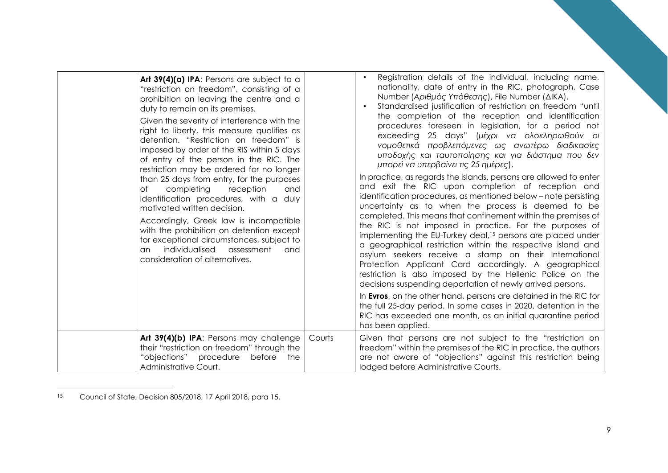| Art 39(4)(a) IPA: Persons are subject to a<br>"restriction on freedom", consisting of a<br>prohibition on leaving the centre and a<br>duty to remain on its premises.<br>Given the severity of interference with the<br>right to liberty, this measure qualifies as<br>detention. "Restriction on freedom" is<br>imposed by order of the RIS within 5 days<br>of entry of the person in the RIC. The<br>restriction may be ordered for no longer<br>than 25 days from entry, for the purposes<br>completing<br>Оf<br>reception<br>and<br>identification procedures, with a duly<br>motivated written decision.<br>Accordingly, Greek law is incompatible<br>with the prohibition on detention except<br>for exceptional circumstances, subject to<br>individualised<br>assessment<br>and<br><b>an</b><br>consideration of alternatives. |        | Registration details of the individual, including name,<br>nationality, date of entry in the RIC, photograph, Case<br>Number (Αριθμός Υπόθεσης), File Number (ΔΙΚΑ).<br>Standardised justification of restriction on freedom "until<br>the completion of the reception and identification<br>procedures foreseen in legislation, for a period not<br>exceeding 25 days" (μέχρι να ολοκληρωθούν οι<br>νομοθετικά προβλεπόμενες ως ανωτέρω διαδικασίες<br>υποδοχής και ταυτοποίησης και για διάστημα που δεν<br>μπορεί να υπερβαίνει τις 25 ημέρες).<br>In practice, as regards the islands, persons are allowed to enter<br>and exit the RIC upon completion of reception and<br>identification procedures, as mentioned below - note persisting<br>uncertainty as to when the process is deemed to be<br>completed. This means that confinement within the premises of<br>the RIC is not imposed in practice. For the purposes of<br>implementing the EU-Turkey deal, <sup>15</sup> persons are placed under<br>a geographical restriction within the respective island and<br>asylum seekers receive a stamp on their International<br>Protection Applicant Card accordingly. A geographical<br>restriction is also imposed by the Hellenic Police on the<br>decisions suspending deportation of newly arrived persons.<br>In Evros, on the other hand, persons are detained in the RIC for<br>the full 25-day period. In some cases in 2020, detention in the<br>RIC has exceeded one month, as an initial quarantine period<br>has been applied. |
|-----------------------------------------------------------------------------------------------------------------------------------------------------------------------------------------------------------------------------------------------------------------------------------------------------------------------------------------------------------------------------------------------------------------------------------------------------------------------------------------------------------------------------------------------------------------------------------------------------------------------------------------------------------------------------------------------------------------------------------------------------------------------------------------------------------------------------------------|--------|-----------------------------------------------------------------------------------------------------------------------------------------------------------------------------------------------------------------------------------------------------------------------------------------------------------------------------------------------------------------------------------------------------------------------------------------------------------------------------------------------------------------------------------------------------------------------------------------------------------------------------------------------------------------------------------------------------------------------------------------------------------------------------------------------------------------------------------------------------------------------------------------------------------------------------------------------------------------------------------------------------------------------------------------------------------------------------------------------------------------------------------------------------------------------------------------------------------------------------------------------------------------------------------------------------------------------------------------------------------------------------------------------------------------------------------------------------------------------------------------------------------------------------------------------------|
| Art 39(4)(b) IPA: Persons may challenge<br>their "restriction on freedom" through the<br>"objections"<br>procedure<br>before<br>the<br>Administrative Court.                                                                                                                                                                                                                                                                                                                                                                                                                                                                                                                                                                                                                                                                            | Courts | Given that persons are not subject to the "restriction on<br>freedom" within the premises of the RIC in practice, the authors<br>are not aware of "objections" against this restriction being<br>lodged before Administrative Courts.                                                                                                                                                                                                                                                                                                                                                                                                                                                                                                                                                                                                                                                                                                                                                                                                                                                                                                                                                                                                                                                                                                                                                                                                                                                                                                               |

<sup>15</sup> Council of State, Decision 805/2018, 17 April 2018, para 15.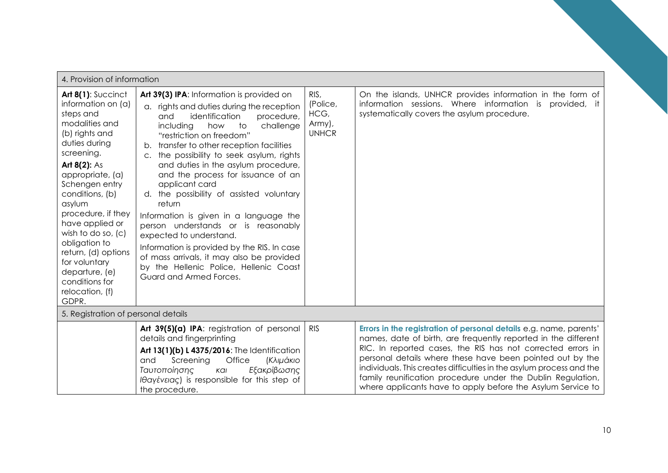| 4. Provision of information                                                                                                                                                                                                                                                                                                                                                                            |                                                                                                                                                                                                                                                                                                                                                                                                                                                                                                                                                                                                                                                                                                                                             |                                                    |                                                                                                                                                                                                                                                                                                                                                                                                                                                                        |  |
|--------------------------------------------------------------------------------------------------------------------------------------------------------------------------------------------------------------------------------------------------------------------------------------------------------------------------------------------------------------------------------------------------------|---------------------------------------------------------------------------------------------------------------------------------------------------------------------------------------------------------------------------------------------------------------------------------------------------------------------------------------------------------------------------------------------------------------------------------------------------------------------------------------------------------------------------------------------------------------------------------------------------------------------------------------------------------------------------------------------------------------------------------------------|----------------------------------------------------|------------------------------------------------------------------------------------------------------------------------------------------------------------------------------------------------------------------------------------------------------------------------------------------------------------------------------------------------------------------------------------------------------------------------------------------------------------------------|--|
| Art 8(1): Succinct<br>information on (a)<br>steps and<br>modalities and<br>(b) rights and<br>duties during<br>screening.<br>Art $8(2)$ : As<br>appropriate, (a)<br>Schengen entry<br>conditions, (b)<br>asylum<br>procedure, if they<br>have applied or<br>wish to do so, (c)<br>obligation to<br>return, (d) options<br>for voluntary<br>departure, (e)<br>conditions for<br>relocation, (f)<br>GDPR. | Art 39(3) IPA: Information is provided on<br>a. rights and duties during the reception<br>identification<br>and<br>procedure,<br>including<br>how<br>to<br>challenge<br>"restriction on freedom"<br>transfer to other reception facilities<br>b.<br>the possibility to seek asylum, rights<br>$C_{\star}$<br>and duties in the asylum procedure,<br>and the process for issuance of an<br>applicant card<br>d. the possibility of assisted voluntary<br>return<br>Information is given in a language the<br>person understands or is reasonably<br>expected to understand.<br>Information is provided by the RIS. In case<br>of mass arrivals, it may also be provided<br>by the Hellenic Police, Hellenic Coast<br>Guard and Armed Forces. | RIS,<br>(Police,<br>HCG,<br>Army),<br><b>UNHCR</b> | On the islands, UNHCR provides information in the form of<br>information sessions. Where information is<br>provided, it<br>systematically covers the asylum procedure.                                                                                                                                                                                                                                                                                                 |  |
| 5. Registration of personal details                                                                                                                                                                                                                                                                                                                                                                    |                                                                                                                                                                                                                                                                                                                                                                                                                                                                                                                                                                                                                                                                                                                                             |                                                    |                                                                                                                                                                                                                                                                                                                                                                                                                                                                        |  |
|                                                                                                                                                                                                                                                                                                                                                                                                        | Art 39(5)(a) IPA: registration of personal<br>details and fingerprinting<br>Art 13(1)(b) L 4375/2016: The Identification<br>Office<br><b>(Κλιμάκιο</b><br>and<br>Screening<br>Εξακρίβωσης<br>Ταυτοποίησης<br>Kal<br>Ιθαγένειας) is responsible for this step of<br>the procedure.                                                                                                                                                                                                                                                                                                                                                                                                                                                           | <b>RIS</b>                                         | Errors in the registration of personal details e.g. name, parents'<br>names, date of birth, are frequently reported in the different<br>RIC. In reported cases, the RIS has not corrected errors in<br>personal details where these have been pointed out by the<br>individuals. This creates difficulties in the asylum process and the<br>family reunification procedure under the Dublin Regulation,<br>where applicants have to apply before the Asylum Service to |  |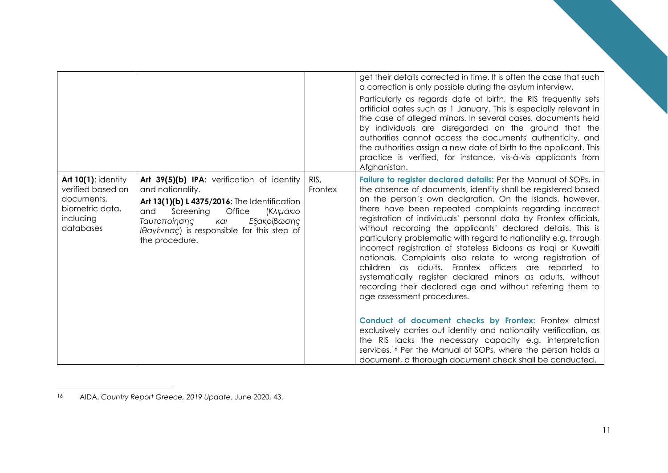|                                                                                                            |                                                                                                                                                                                                                                                                         |                 | get their details corrected in time. It is often the case that such<br>a correction is only possible during the asylum interview.<br>Particularly as regards date of birth, the RIS frequently sets<br>artificial dates such as 1 January. This is especially relevant in<br>the case of alleged minors. In several cases, documents held<br>by individuals are disregarded on the ground that the<br>authorities cannot access the documents' authenticity, and<br>the authorities assign a new date of birth to the applicant. This<br>practice is verified, for instance, vis-à-vis applicants from<br>Afghanistan.                                                                                                                                                                                                                                                                                                                                                                                                                                                                                                                              |
|------------------------------------------------------------------------------------------------------------|-------------------------------------------------------------------------------------------------------------------------------------------------------------------------------------------------------------------------------------------------------------------------|-----------------|-----------------------------------------------------------------------------------------------------------------------------------------------------------------------------------------------------------------------------------------------------------------------------------------------------------------------------------------------------------------------------------------------------------------------------------------------------------------------------------------------------------------------------------------------------------------------------------------------------------------------------------------------------------------------------------------------------------------------------------------------------------------------------------------------------------------------------------------------------------------------------------------------------------------------------------------------------------------------------------------------------------------------------------------------------------------------------------------------------------------------------------------------------|
| <b>Art 10(1): identity</b><br>verified based on<br>documents,<br>biometric data,<br>including<br>databases | Art 39(5)(b) IPA: verification of identity<br>and nationality.<br>Art 13(1)(b) L 4375/2016: The Identification<br>Screening<br>Office<br><b>(Κλιμάκιο</b><br>and<br>Εξακρίβωσης<br>Ταυτοποίησης<br>Kal<br>Iθαγένειας) is responsible for this step of<br>the procedure. | RIS,<br>Frontex | Failure to register declared details: Per the Manual of SOPs, in<br>the absence of documents, identity shall be registered based<br>on the person's own declaration. On the islands, however,<br>there have been repeated complaints regarding incorrect<br>registration of individuals' personal data by Frontex officials,<br>without recording the applicants' declared details. This is<br>particularly problematic with regard to nationality e.g. through<br>incorrect registration of stateless Bidoons as Iraqi or Kuwaiti<br>nationals. Complaints also relate to wrong registration of<br>children as adults. Frontex officers are reported to<br>systematically register declared minors as adults, without<br>recording their declared age and without referring them to<br>age assessment procedures.<br>Conduct of document checks by Frontex: Frontex almost<br>exclusively carries out identity and nationality verification, as<br>the RIS lacks the necessary capacity e.g. interpretation<br>services. <sup>16</sup> Per the Manual of SOPs, where the person holds a<br>document, a thorough document check shall be conducted. |

<sup>16</sup> AIDA, *Country Report Greece, 2019 Update*, June 2020, 43.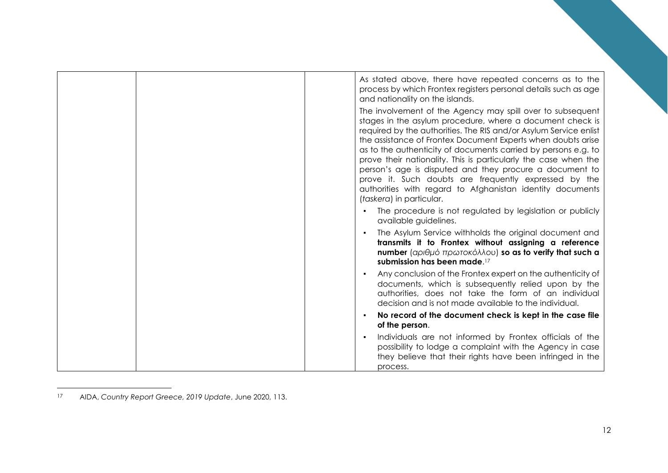|  | As stated above, there have repeated concerns as to the<br>process by which Frontex registers personal details such as age<br>and nationality on the islands.                                                                                                                                                                                                                                                                                                                                                                                                                                                  |
|--|----------------------------------------------------------------------------------------------------------------------------------------------------------------------------------------------------------------------------------------------------------------------------------------------------------------------------------------------------------------------------------------------------------------------------------------------------------------------------------------------------------------------------------------------------------------------------------------------------------------|
|  | The involvement of the Agency may spill over to subsequent<br>stages in the asylum procedure, where a document check is<br>required by the authorities. The RIS and/or Asylum Service enlist<br>the assistance of Frontex Document Experts when doubts arise<br>as to the authenticity of documents carried by persons e.g. to<br>prove their nationality. This is particularly the case when the<br>person's age is disputed and they procure a document to<br>prove it. Such doubts are frequently expressed by the<br>authorities with regard to Afghanistan identity documents<br>(taskera) in particular. |
|  | The procedure is not regulated by legislation or publicly<br>available guidelines.                                                                                                                                                                                                                                                                                                                                                                                                                                                                                                                             |
|  | The Asylum Service withholds the original document and<br>transmits it to Frontex without assigning a reference<br>number (αριθμό πρωτοκόλλου) so as to verify that such a<br>submission has been made. <sup>17</sup>                                                                                                                                                                                                                                                                                                                                                                                          |
|  | Any conclusion of the Frontex expert on the authenticity of<br>documents, which is subsequently relied upon by the<br>authorities, does not take the form of an individual<br>decision and is not made available to the individual.                                                                                                                                                                                                                                                                                                                                                                            |
|  | No record of the document check is kept in the case file<br>of the person.                                                                                                                                                                                                                                                                                                                                                                                                                                                                                                                                     |
|  | Individuals are not informed by Frontex officials of the<br>possibility to lodge a complaint with the Agency in case<br>they believe that their rights have been infringed in the<br>process.                                                                                                                                                                                                                                                                                                                                                                                                                  |

<sup>17</sup> AIDA, *Country Report Greece, 2019 Update*, June 2020, 113.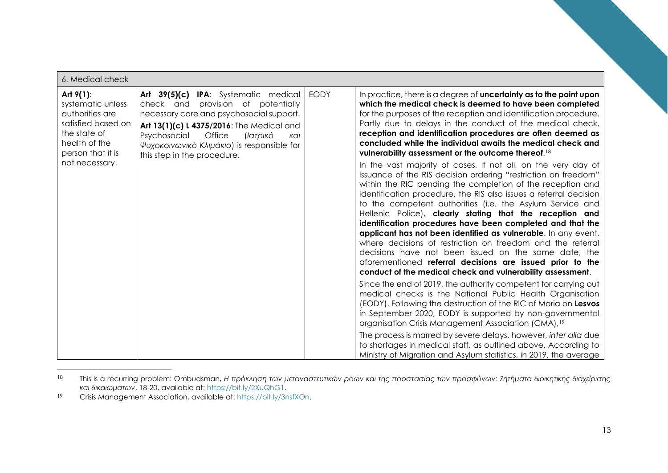| 6. Medical check                                                                                                                 |                                                                                                                                                                                                                                                                                               |             |                                                                                                                                                                                                                                                                                                                                                                                                                                                                                                                                                                                                                                                                                                                                                                              |
|----------------------------------------------------------------------------------------------------------------------------------|-----------------------------------------------------------------------------------------------------------------------------------------------------------------------------------------------------------------------------------------------------------------------------------------------|-------------|------------------------------------------------------------------------------------------------------------------------------------------------------------------------------------------------------------------------------------------------------------------------------------------------------------------------------------------------------------------------------------------------------------------------------------------------------------------------------------------------------------------------------------------------------------------------------------------------------------------------------------------------------------------------------------------------------------------------------------------------------------------------------|
| Art $9(1)$ :<br>systematic unless<br>authorities are<br>satisfied based on<br>the state of<br>health of the<br>person that it is | Art 39(5)(c) IPA: Systematic medical<br>check and provision of potentially<br>necessary care and psychosocial support.<br>Art 13(1)(c) L 4375/2016: The Medical and<br>Psychosocial<br>Office<br>(Ιατρικό<br>Kal<br>Ψυχοκοινωνικό Κλιμάκιο) is responsible for<br>this step in the procedure. | <b>EODY</b> | In practice, there is a degree of uncertainty as to the point upon<br>which the medical check is deemed to have been completed<br>for the purposes of the reception and identification procedure.<br>Partly due to delays in the conduct of the medical check,<br>reception and identification procedures are often deemed as<br>concluded while the individual awaits the medical check and<br>vulnerability assessment or the outcome thereof. <sup>18</sup>                                                                                                                                                                                                                                                                                                               |
| not necessary.                                                                                                                   |                                                                                                                                                                                                                                                                                               |             | In the vast majority of cases, if not all, on the very day of<br>issuance of the RIS decision ordering "restriction on freedom"<br>within the RIC pending the completion of the reception and<br>identification procedure, the RIS also issues a referral decision<br>to the competent authorities (i.e. the Asylum Service and<br>Hellenic Police), clearly stating that the reception and<br>identification procedures have been completed and that the<br>applicant has not been identified as vulnerable. In any event,<br>where decisions of restriction on freedom and the referral<br>decisions have not been issued on the same date, the<br>aforementioned referral decisions are issued prior to the<br>conduct of the medical check and vulnerability assessment. |
|                                                                                                                                  |                                                                                                                                                                                                                                                                                               |             | Since the end of 2019, the authority competent for carrying out<br>medical checks is the National Public Health Organisation<br>(EODY). Following the destruction of the RIC of Moria on Lesvos<br>in September 2020, EODY is supported by non-governmental<br>organisation Crisis Management Association (CMA), <sup>19</sup>                                                                                                                                                                                                                                                                                                                                                                                                                                               |
|                                                                                                                                  |                                                                                                                                                                                                                                                                                               |             | The process is marred by severe delays, however, inter alia due<br>to shortages in medical staff, as outlined above. According to<br>Ministry of Migration and Asylum statistics, in 2019, the average                                                                                                                                                                                                                                                                                                                                                                                                                                                                                                                                                                       |

<sup>18</sup> This is a recurring problem: Ombudsman, *Η πρόκληση των μεταναστευτικών ροών και της προστασίας των προσφύγων: Ζητήματα διοικητικής διαχείρισης και δικαιωμάτων*, 18-20, available at: [https://bit.ly/2XuQhG1.](https://bit.ly/2XuQhG1)

<sup>19</sup> Crisis Management Association, available at: [https://bit.ly/3nsfXOn.](https://bit.ly/3nsfXOn)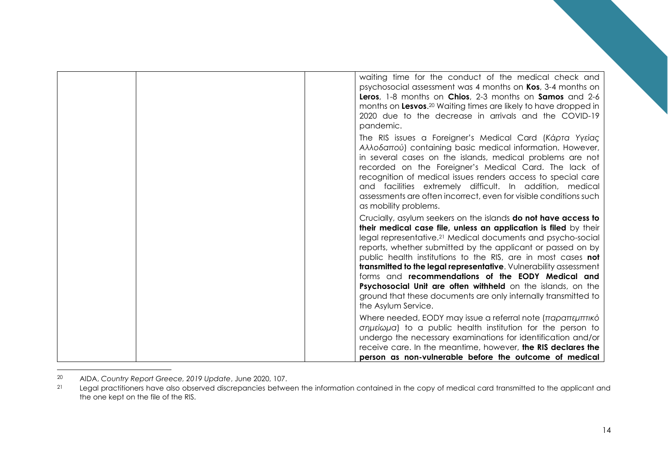| waiting time for the conduct of the medical check and<br>psychosocial assessment was 4 months on Kos, 3-4 months on<br>Leros, 1-8 months on Chios, 2-3 months on Samos and 2-6<br>months on Lesvos. <sup>20</sup> Waiting times are likely to have dropped in<br>2020 due to the decrease in arrivals and the COVID-19<br>pandemic.                                                                                                                                                                                                                                                                                                   |
|---------------------------------------------------------------------------------------------------------------------------------------------------------------------------------------------------------------------------------------------------------------------------------------------------------------------------------------------------------------------------------------------------------------------------------------------------------------------------------------------------------------------------------------------------------------------------------------------------------------------------------------|
| The RIS issues a Foreigner's Medical Card (Kápta Yytiac<br>Αλλοδαπού) containing basic medical information. However,<br>in several cases on the islands, medical problems are not<br>recorded on the Foreigner's Medical Card. The lack of<br>recognition of medical issues renders access to special care<br>and facilities extremely difficult. In addition, medical<br>assessments are often incorrect, even for visible conditions such<br>as mobility problems.                                                                                                                                                                  |
| Crucially, asylum seekers on the islands do not have access to<br>their medical case file, unless an application is filed by their<br>legal representative. <sup>21</sup> Medical documents and psycho-social<br>reports, whether submitted by the applicant or passed on by<br>public health institutions to the RIS, are in most cases <b>not</b><br>transmitted to the legal representative. Vulnerability assessment<br>forms and recommendations of the EODY Medical and<br>Psychosocial Unit are often withheld on the islands, on the<br>ground that these documents are only internally transmitted to<br>the Asylum Service. |
| Where needed, EODY may issue a referral note (παραπεμπτικό<br>σημείωμα) to a public health institution for the person to<br>undergo the necessary examinations for identification and/or<br>receive care. In the meantime, however, the RIS declares the<br>person as non-vulnerable before the outcome of medical                                                                                                                                                                                                                                                                                                                    |

<sup>20</sup> AIDA, *Country Report Greece, 2019 Update*, June 2020, 107.

Legal practitioners have also observed discrepancies between the information contained in the copy of medical card transmitted to the applicant and the one kept on the file of the RIS.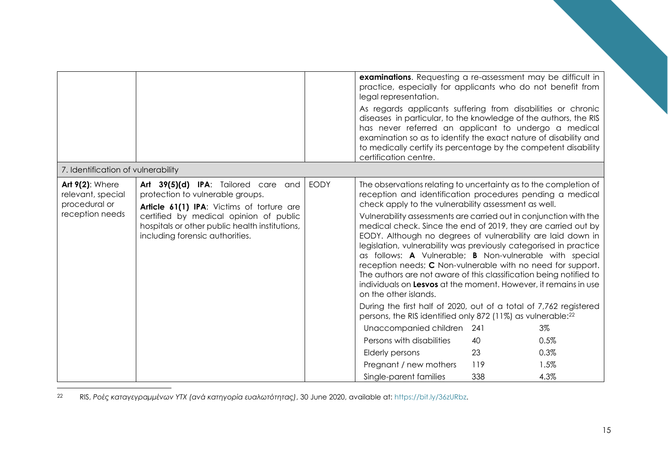|                                                                                 |                                                                                                                                                                                                                                                     |             | examinations. Requesting a re-assessment may be difficult in<br>practice, especially for applicants who do not benefit from<br>legal representation.<br>As regards applicants suffering from disabilities or chronic<br>diseases in particular, to the knowledge of the authors, the RIS<br>has never referred an applicant to undergo a medical<br>examination so as to identify the exact nature of disability and<br>to medically certify its percentage by the competent disability<br>certification centre.                                                                                                                                                                                                                                            |     |      |
|---------------------------------------------------------------------------------|-----------------------------------------------------------------------------------------------------------------------------------------------------------------------------------------------------------------------------------------------------|-------------|-------------------------------------------------------------------------------------------------------------------------------------------------------------------------------------------------------------------------------------------------------------------------------------------------------------------------------------------------------------------------------------------------------------------------------------------------------------------------------------------------------------------------------------------------------------------------------------------------------------------------------------------------------------------------------------------------------------------------------------------------------------|-----|------|
| 7. Identification of vulnerability                                              |                                                                                                                                                                                                                                                     |             |                                                                                                                                                                                                                                                                                                                                                                                                                                                                                                                                                                                                                                                                                                                                                             |     |      |
| <b>Art 9(2): Where</b><br>relevant, special<br>procedural or<br>reception needs | Art 39(5)(d) IPA: Tailored care and<br>protection to vulnerable groups.<br>Article 61(1) IPA: Victims of torture are<br>certified by medical opinion of public<br>hospitals or other public health institutions,<br>including forensic authorities. | <b>EODY</b> | The observations relating to uncertainty as to the completion of<br>reception and identification procedures pending a medical<br>check apply to the vulnerability assessment as well.<br>Vulnerability assessments are carried out in conjunction with the<br>medical check. Since the end of 2019, they are carried out by<br>EODY. Although no degrees of vulnerability are laid down in<br>legislation, vulnerability was previously categorised in practice<br>as follows: A Vulnerable; B Non-vulnerable with special<br>reception needs; C Non-vulnerable with no need for support.<br>The authors are not aware of this classification being notified to<br>individuals on Lesvos at the moment. However, it remains in use<br>on the other islands. |     |      |
|                                                                                 |                                                                                                                                                                                                                                                     |             | During the first half of 2020, out of a total of 7,762 registered<br>persons, the RIS identified only 872 (11%) as vulnerable: <sup>22</sup>                                                                                                                                                                                                                                                                                                                                                                                                                                                                                                                                                                                                                |     |      |
|                                                                                 |                                                                                                                                                                                                                                                     |             | Unaccompanied children                                                                                                                                                                                                                                                                                                                                                                                                                                                                                                                                                                                                                                                                                                                                      | 241 | 3%   |
|                                                                                 |                                                                                                                                                                                                                                                     |             | Persons with disabilities                                                                                                                                                                                                                                                                                                                                                                                                                                                                                                                                                                                                                                                                                                                                   | 40  | 0.5% |
|                                                                                 |                                                                                                                                                                                                                                                     |             | <b>Elderly persons</b>                                                                                                                                                                                                                                                                                                                                                                                                                                                                                                                                                                                                                                                                                                                                      | 23  | 0.3% |
|                                                                                 |                                                                                                                                                                                                                                                     |             | Pregnant / new mothers                                                                                                                                                                                                                                                                                                                                                                                                                                                                                                                                                                                                                                                                                                                                      | 119 | 1.5% |
|                                                                                 |                                                                                                                                                                                                                                                     |             | Single-parent families                                                                                                                                                                                                                                                                                                                                                                                                                                                                                                                                                                                                                                                                                                                                      | 338 | 4.3% |

<sup>22</sup> RIS, *Ροές καταγεγραμμένων ΥΤΧ (ανά κατηγορία ευαλωτότητας)*, 30 June 2020, available at: [https://bit.ly/36zURbz.](https://bit.ly/36zURbz)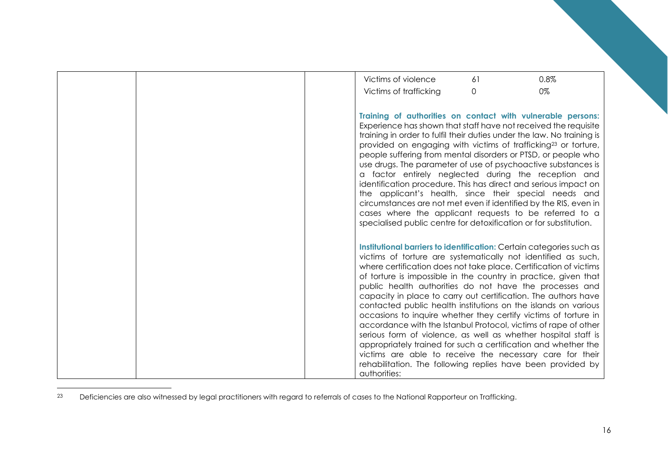| 0.8%<br>Victims of violence<br>61                                                                                                                                                                                                                                                                                                                                                                                                                                                                                                                                                                                                                                                                                                                                                                                                                                                                 |
|---------------------------------------------------------------------------------------------------------------------------------------------------------------------------------------------------------------------------------------------------------------------------------------------------------------------------------------------------------------------------------------------------------------------------------------------------------------------------------------------------------------------------------------------------------------------------------------------------------------------------------------------------------------------------------------------------------------------------------------------------------------------------------------------------------------------------------------------------------------------------------------------------|
| 0%<br>Victims of trafficking<br>$\Omega$                                                                                                                                                                                                                                                                                                                                                                                                                                                                                                                                                                                                                                                                                                                                                                                                                                                          |
|                                                                                                                                                                                                                                                                                                                                                                                                                                                                                                                                                                                                                                                                                                                                                                                                                                                                                                   |
| Training of authorities on contact with vulnerable persons:<br>Experience has shown that staff have not received the requisite<br>training in order to fulfil their duties under the law. No training is<br>provided on engaging with victims of trafficking <sup>23</sup> or torture,<br>people suffering from mental disorders or PTSD, or people who<br>use drugs. The parameter of use of psychoactive substances is<br>a factor entirely neglected during the reception and<br>identification procedure. This has direct and serious impact on<br>the applicant's health, since their special needs and<br>circumstances are not met even if identified by the RIS, even in<br>cases where the applicant requests to be referred to a<br>specialised public centre for detoxification or for substitution.                                                                                   |
| Institutional barriers to identification: Certain categories such as<br>victims of torture are systematically not identified as such,<br>where certification does not take place. Certification of victims<br>of torture is impossible in the country in practice, given that<br>public health authorities do not have the processes and<br>capacity in place to carry out certification. The authors have<br>contacted public health institutions on the islands on various<br>occasions to inquire whether they certify victims of torture in<br>accordance with the Istanbul Protocol, victims of rape of other<br>serious form of violence, as well as whether hospital staff is<br>appropriately trained for such a certification and whether the<br>victims are able to receive the necessary care for their<br>rehabilitation. The following replies have been provided by<br>authorities: |

<sup>23</sup> Deficiencies are also witnessed by legal practitioners with regard to referrals of cases to the National Rapporteur on Trafficking.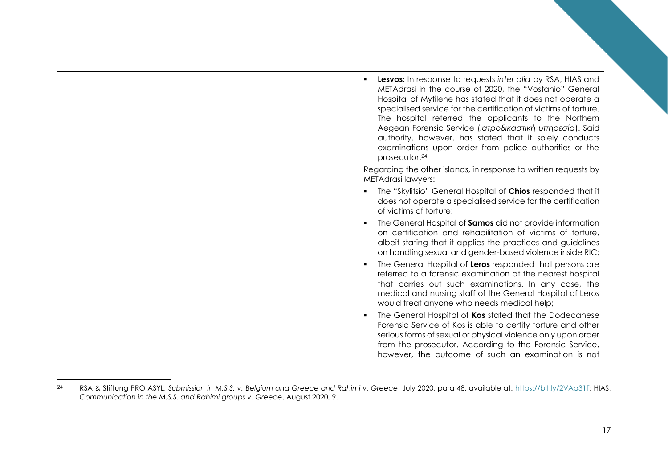|  | <b>Lesvos:</b> In response to requests inter alia by RSA, HIAS and<br>METAdrasi in the course of 2020, the "Vostanio" General<br>Hospital of Mytilene has stated that it does not operate a<br>specialised service for the certification of victims of torture.<br>The hospital referred the applicants to the Northern<br>Aegean Forensic Service (ιατροδικαστική υπηρεσία). Said<br>authority, however, has stated that it solely conducts<br>examinations upon order from police authorities or the<br>prosecutor. <sup>24</sup> |
|--|-------------------------------------------------------------------------------------------------------------------------------------------------------------------------------------------------------------------------------------------------------------------------------------------------------------------------------------------------------------------------------------------------------------------------------------------------------------------------------------------------------------------------------------|
|  | Regarding the other islands, in response to written requests by<br><b>METAdrasi lawyers:</b>                                                                                                                                                                                                                                                                                                                                                                                                                                        |
|  | The "Skylitsio" General Hospital of Chios responded that it<br>does not operate a specialised service for the certification<br>of victims of torture;                                                                                                                                                                                                                                                                                                                                                                               |
|  | The General Hospital of Samos did not provide information<br>п<br>on certification and rehabilitation of victims of torture,<br>albeit stating that it applies the practices and guidelines<br>on handling sexual and gender-based violence inside RIC;                                                                                                                                                                                                                                                                             |
|  | The General Hospital of Leros responded that persons are<br>$\blacksquare$<br>referred to a forensic examination at the nearest hospital<br>that carries out such examinations. In any case, the<br>medical and nursing staff of the General Hospital of Leros<br>would treat anyone who needs medical help;                                                                                                                                                                                                                        |
|  | The General Hospital of Kos stated that the Dodecanese<br>$\blacksquare$<br>Forensic Service of Kos is able to certify torture and other<br>serious forms of sexual or physical violence only upon order<br>from the prosecutor. According to the Forensic Service,<br>however, the outcome of such an examination is not                                                                                                                                                                                                           |

<sup>24</sup> RSA & Stiftung PRO ASYL, *Submission in M.S.S. v. Belgium and Greece and Rahimi v. Greece*, July 2020, para 48, available at: [https://bit.ly/2VAa31T;](https://bit.ly/2VAa31T) HIAS, *Communication in the M.S.S. and Rahimi groups v. Greece*, August 2020, 9.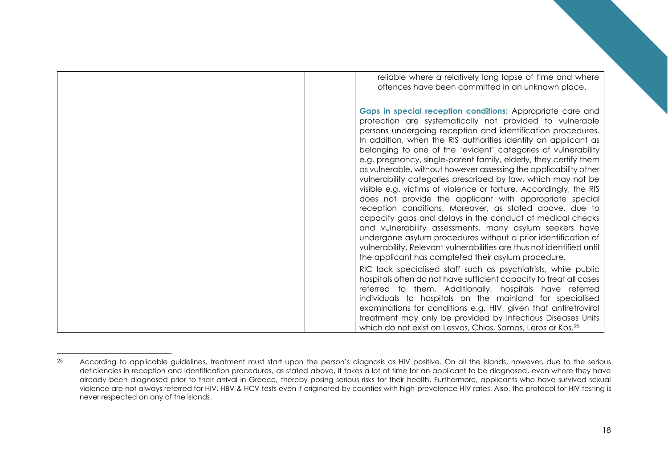|  | reliable where a relatively long lapse of time and where<br>offences have been committed in an unknown place.                                                                                                                                                                                                                                                                                                                                                                                                                                                                                                                                                                                                                                                                                                                                                                                                                                                                                                                                        |
|--|------------------------------------------------------------------------------------------------------------------------------------------------------------------------------------------------------------------------------------------------------------------------------------------------------------------------------------------------------------------------------------------------------------------------------------------------------------------------------------------------------------------------------------------------------------------------------------------------------------------------------------------------------------------------------------------------------------------------------------------------------------------------------------------------------------------------------------------------------------------------------------------------------------------------------------------------------------------------------------------------------------------------------------------------------|
|  | Gaps in special reception conditions: Appropriate care and<br>protection are systematically not provided to vulnerable<br>persons undergoing reception and identification procedures.<br>In addition, when the RIS authorities identify an applicant as<br>belonging to one of the 'evident' categories of vulnerability<br>e.g. pregnancy, single-parent family, elderly, they certify them<br>as vulnerable, without however assessing the applicability other<br>vulnerability categories prescribed by law, which may not be<br>visible e.g. victims of violence or torture. Accordingly, the RIS<br>does not provide the applicant with appropriate special<br>reception conditions. Moreover, as stated above, due to<br>capacity gaps and delays in the conduct of medical checks<br>and vulnerability assessments, many asylum seekers have<br>undergone asylum procedures without a prior identification of<br>vulnerability. Relevant vulnerabilities are thus not identified until<br>the applicant has completed their asylum procedure. |
|  | RIC lack specialised staff such as psychiatrists, while public<br>hospitals often do not have sufficient capacity to treat all cases<br>referred to them. Additionally, hospitals have referred<br>individuals to hospitals on the mainland for specialised<br>examinations for conditions e.g. HIV, given that antiretroviral<br>treatment may only be provided by Infectious Diseases Units<br>which do not exist on Lesvos, Chios, Samos, Leros or Kos. <sup>25</sup>                                                                                                                                                                                                                                                                                                                                                                                                                                                                                                                                                                             |

<sup>&</sup>lt;sup>25</sup> According to applicable guidelines, treatment must start upon the person's diagnosis as HIV positive. On all the islands, however, due to the serious deficiencies in reception and identification procedures, as stated above, it takes a lot of time for an applicant to be diagnosed, even where they have already been diagnosed prior to their arrival in Greece, thereby posing serious risks for their health. Furthermore, applicants who have survived sexual violence are not always referred for HIV, HBV & HCV tests even if originated by counties with high-prevalence HIV rates. Also, the protocol for HIV testing is never respected on any of the islands.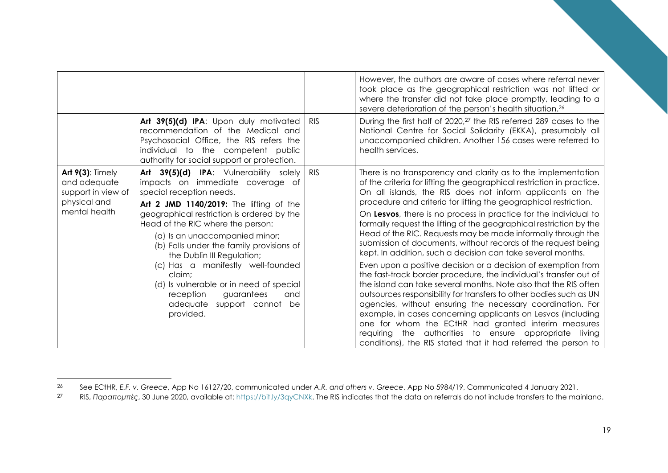|                                                                                            |                                                                                                                                                                                                                                                                                                                                                                                                                                                                                                                         |            | However, the authors are aware of cases where referral never<br>took place as the geographical restriction was not lifted or<br>where the transfer did not take place promptly, leading to a                                                                                                                                                                                                                                                                                                                                                                                                                                                                                                                                                                                                                                                                                                                                                                                                                                                                                                                                                                                                                        |
|--------------------------------------------------------------------------------------------|-------------------------------------------------------------------------------------------------------------------------------------------------------------------------------------------------------------------------------------------------------------------------------------------------------------------------------------------------------------------------------------------------------------------------------------------------------------------------------------------------------------------------|------------|---------------------------------------------------------------------------------------------------------------------------------------------------------------------------------------------------------------------------------------------------------------------------------------------------------------------------------------------------------------------------------------------------------------------------------------------------------------------------------------------------------------------------------------------------------------------------------------------------------------------------------------------------------------------------------------------------------------------------------------------------------------------------------------------------------------------------------------------------------------------------------------------------------------------------------------------------------------------------------------------------------------------------------------------------------------------------------------------------------------------------------------------------------------------------------------------------------------------|
|                                                                                            | Art 39(5)(d) IPA: Upon duly motivated<br>recommendation of the Medical and<br>Psychosocial Office, the RIS refers the<br>individual to the competent public<br>authority for social support or protection.                                                                                                                                                                                                                                                                                                              | <b>RIS</b> | severe deterioration of the person's health situation. <sup>26</sup><br>During the first half of 2020, <sup>27</sup> the RIS referred 289 cases to the<br>National Centre for Social Solidarity (EKKA), presumably all<br>unaccompanied children. Another 156 cases were referred to<br>health services.                                                                                                                                                                                                                                                                                                                                                                                                                                                                                                                                                                                                                                                                                                                                                                                                                                                                                                            |
| Art $9(3)$ : Timely<br>and adequate<br>support in view of<br>physical and<br>mental health | Art 39(5)(d) IPA: Vulnerability solely<br>impacts on immediate coverage of<br>special reception needs.<br>Art 2 JMD 1140/2019: The lifting of the<br>geographical restriction is ordered by the<br>Head of the RIC where the person:<br>(a) Is an unaccompanied minor;<br>(b) Falls under the family provisions of<br>the Dublin III Regulation;<br>(c) Has a manifestly well-founded<br>claim:<br>(d) Is vulnerable or in need of special<br>guarantees<br>reception<br>and<br>adequate support cannot be<br>provided. | <b>RIS</b> | There is no transparency and clarity as to the implementation<br>of the criteria for lifting the geographical restriction in practice.<br>On all islands, the RIS does not inform applicants on the<br>procedure and criteria for lifting the geographical restriction.<br>On Lesvos, there is no process in practice for the individual to<br>formally request the lifting of the geographical restriction by the<br>Head of the RIC. Requests may be made informally through the<br>submission of documents, without records of the request being<br>kept. In addition, such a decision can take several months.<br>Even upon a positive decision or a decision of exemption from<br>the fast-track border procedure, the individual's transfer out of<br>the island can take several months. Note also that the RIS often<br>outsources responsibility for transfers to other bodies such as UN<br>agencies, without ensuring the necessary coordination. For<br>example, in cases concerning applicants on Lesvos (including<br>one for whom the ECtHR had granted interim measures<br>requiring the authorities to ensure appropriate living<br>conditions), the RIS stated that it had referred the person to |

<sup>&</sup>lt;sup>26</sup> See ECtHR, *E.F. v. Greece, App No 16127/20, communicated under A.R. and others v. Greece, App No 5984/19, Communicated 4 January 2021.<br><sup>27</sup> RIS <i>Παραπομπές* 30 June 2020 available at: https://bit.ly/3ayCNXk. The RIS

<sup>27</sup> RIS, *Παραπομπές*, 30 June 2020, available at: [https://bit.ly/3qyCNXk.](https://bit.ly/3qyCNXk) The RIS indicates that the data on referrals do not include transfers to the mainland.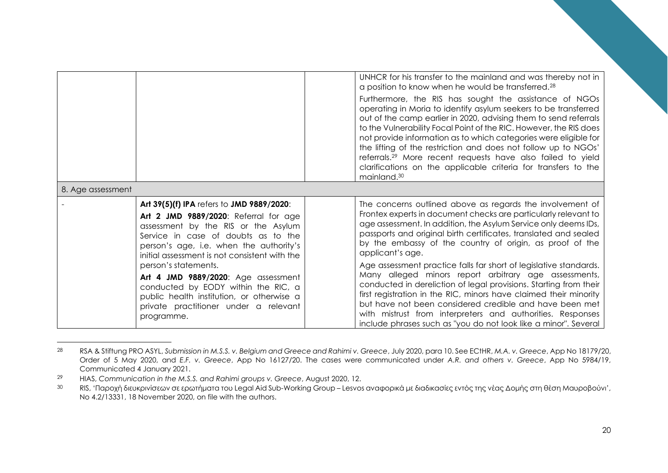|                   |                                                                                                                                                                                                                                                              | UNHCR for his transfer to the mainland and was thereby not in<br>a position to know when he would be transferred. <sup>28</sup><br>Furthermore, the RIS has sought the assistance of NGOs<br>operating in Moria to identify asylum seekers to be transferred<br>out of the camp earlier in 2020, advising them to send referrals<br>to the Vulnerability Focal Point of the RIC. However, the RIS does<br>not provide information as to which categories were eligible for<br>the lifting of the restriction and does not follow up to NGOs'<br>referrals. <sup>29</sup> More recent requests have also failed to yield<br>clarifications on the applicable criteria for transfers to the |
|-------------------|--------------------------------------------------------------------------------------------------------------------------------------------------------------------------------------------------------------------------------------------------------------|-------------------------------------------------------------------------------------------------------------------------------------------------------------------------------------------------------------------------------------------------------------------------------------------------------------------------------------------------------------------------------------------------------------------------------------------------------------------------------------------------------------------------------------------------------------------------------------------------------------------------------------------------------------------------------------------|
|                   |                                                                                                                                                                                                                                                              | mainland. <sup>30</sup>                                                                                                                                                                                                                                                                                                                                                                                                                                                                                                                                                                                                                                                                   |
| 8. Age assessment |                                                                                                                                                                                                                                                              |                                                                                                                                                                                                                                                                                                                                                                                                                                                                                                                                                                                                                                                                                           |
|                   | Art 39(5)(f) IPA refers to JMD 9889/2020:<br>Art 2 JMD 9889/2020: Referral for age<br>assessment by the RIS or the Asylum<br>Service in case of doubts as to the<br>person's age, i.e. when the authority's<br>initial assessment is not consistent with the | The concerns outlined above as regards the involvement of<br>Frontex experts in document checks are particularly relevant to<br>age assessment. In addition, the Asylum Service only deems IDs,<br>passports and original birth certificates, translated and sealed<br>by the embassy of the country of origin, as proof of the<br>applicant's age.                                                                                                                                                                                                                                                                                                                                       |
|                   | person's statements.<br>Art 4 JMD 9889/2020: Age assessment<br>conducted by EODY within the RIC, a<br>public health institution, or otherwise a<br>private practitioner under a relevant<br>programme.                                                       | Age assessment practice falls far short of legislative standards.<br>Many alleged minors report arbitrary age assessments,<br>conducted in dereliction of legal provisions. Starting from their<br>first registration in the RIC, minors have claimed their minority<br>but have not been considered credible and have been met<br>with mistrust from interpreters and authorities. Responses<br>include phrases such as "you do not look like a minor". Several                                                                                                                                                                                                                          |

<sup>28</sup> RSA & Stiftung PRO ASYL, *Submission in M.S.S. v. Belgium and Greece and Rahimi v. Greece*, July 2020, para 10. See ECtHR, *M.A. v. Greece*, App No 18179/20, Order of 5 May 2020, and *E.F. v. Greece*, App No 16127/20. The cases were communicated under *A.R. and others v. Greece*, App No 5984/19, Communicated 4 January 2021.

<sup>29</sup> HIAS, *Communication in the M.S.S. and Rahimi groups v. Greece*, August 2020, 12.

<sup>30</sup> RIS, 'Παροχή διευκρινίσεων σε ερωτήματα του Legal Aid Sub-Working Group – Lesvos αναφορικά με διαδικασίες εντός της νέας Δομής στη θέση Μαυροβούνι', No 4.2/13331, 18 November 2020, on file with the authors.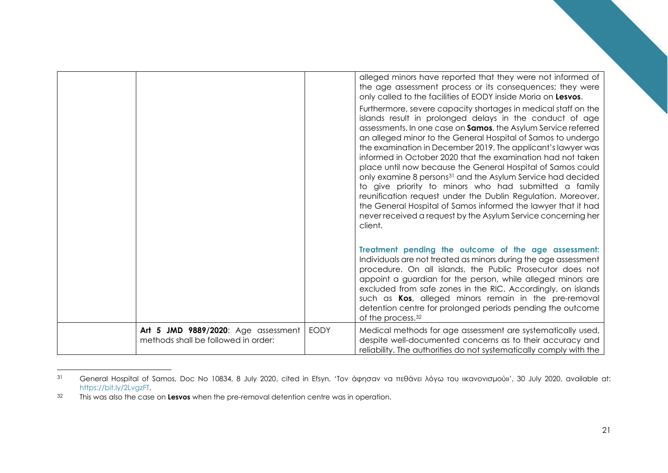|                                                                            |             | alleged minors have reported that they were not informed of<br>the age assessment process or its consequences; they were<br>only called to the facilities of EODY inside Moria on Lesvos.                                                                                                                                                                                                                                                                                                                                                                                                                                                                                                                                                                                                                   |
|----------------------------------------------------------------------------|-------------|-------------------------------------------------------------------------------------------------------------------------------------------------------------------------------------------------------------------------------------------------------------------------------------------------------------------------------------------------------------------------------------------------------------------------------------------------------------------------------------------------------------------------------------------------------------------------------------------------------------------------------------------------------------------------------------------------------------------------------------------------------------------------------------------------------------|
|                                                                            |             | Furthermore, severe capacity shortages in medical staff on the<br>islands result in prolonged delays in the conduct of age<br>assessments. In one case on Samos, the Asylum Service referred<br>an alleged minor to the General Hospital of Samos to undergo<br>the examination in December 2019. The applicant's lawyer was<br>informed in October 2020 that the examination had not taken<br>place until now because the General Hospital of Samos could<br>only examine 8 persons <sup>31</sup> and the Asylum Service had decided<br>to give priority to minors who had submitted a family<br>reunification request under the Dublin Regulation. Moreover,<br>the General Hospital of Samos informed the lawyer that it had<br>never received a request by the Asylum Service concerning her<br>client. |
|                                                                            |             | Treatment pending the outcome of the age assessment:<br>Individuals are not treated as minors during the age assessment<br>procedure. On all islands, the Public Prosecutor does not<br>appoint a guardian for the person, while alleged minors are<br>excluded from safe zones in the RIC. Accordingly, on islands<br>such as Kos, alleged minors remain in the pre-removal<br>detention centre for prolonged periods pending the outcome<br>of the process. <sup>32</sup>                                                                                                                                                                                                                                                                                                                                 |
| Art 5 JMD 9889/2020: Age assessment<br>methods shall be followed in order: | <b>EODY</b> | Medical methods for age assessment are systematically used,<br>despite well-documented concerns as to their accuracy and<br>reliability. The authorities do not systematically comply with the                                                                                                                                                                                                                                                                                                                                                                                                                                                                                                                                                                                                              |

<sup>&</sup>lt;sup>31</sup> General Hospital of Samos, Doc No 10834, 8 July 2020, cited in Efsyn, 'Τον άφησαν να πεθάνει λόγω του «κανονισμού»', 30 July 2020, available at: [https://bit.ly/2LvgzFT.](https://bit.ly/2LvgzFT)

<sup>32</sup> This was also the case on **Lesvos** when the pre-removal detention centre was in operation.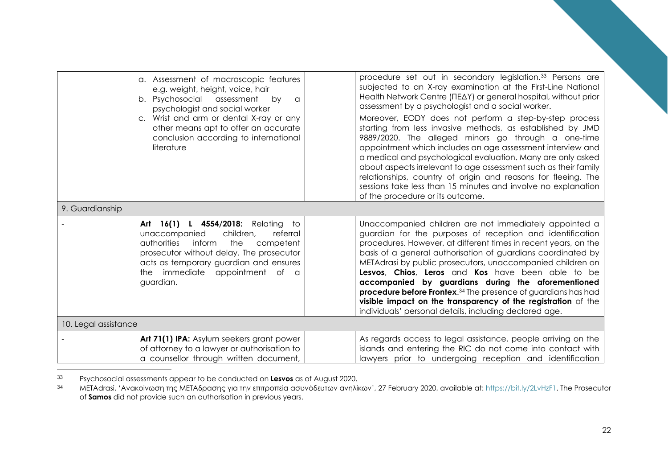|                      | a. Assessment of macroscopic features<br>e.g. weight, height, voice, hair<br>b. Psychosocial assessment<br>bv<br>$\alpha$<br>psychologist and social worker<br>c. Wrist and arm or dental X-ray or any<br>other means apt to offer an accurate<br>conclusion according to international<br>literature | procedure set out in secondary legislation. <sup>33</sup> Persons are<br>subjected to an X-ray examination at the First-Line National<br>Health Network Centre (ΠΕΔΥ) or general hospital, without prior<br>assessment by a psychologist and a social worker.<br>Moreover, EODY does not perform a step-by-step process<br>starting from less invasive methods, as established by JMD<br>9889/2020. The alleged minors go through a one-time<br>appointment which includes an age assessment interview and<br>a medical and psychological evaluation. Many are only asked<br>about aspects irrelevant to age assessment such as their family<br>relationships, country of origin and reasons for fleeing. The<br>sessions take less than 15 minutes and involve no explanation<br>of the procedure or its outcome. |
|----------------------|-------------------------------------------------------------------------------------------------------------------------------------------------------------------------------------------------------------------------------------------------------------------------------------------------------|--------------------------------------------------------------------------------------------------------------------------------------------------------------------------------------------------------------------------------------------------------------------------------------------------------------------------------------------------------------------------------------------------------------------------------------------------------------------------------------------------------------------------------------------------------------------------------------------------------------------------------------------------------------------------------------------------------------------------------------------------------------------------------------------------------------------|
| 9. Guardianship      |                                                                                                                                                                                                                                                                                                       |                                                                                                                                                                                                                                                                                                                                                                                                                                                                                                                                                                                                                                                                                                                                                                                                                    |
|                      | Art 16(1) L 4554/2018: Relating<br>to<br>unaccompanied<br>children,<br>referral<br>authorities<br>inform<br>the<br>competent<br>prosecutor without delay. The prosecutor<br>acts as temporary guardian and ensures<br>the immediate appointment of a<br>guardian.                                     | Unaccompanied children are not immediately appointed a<br>guardian for the purposes of reception and identification<br>procedures. However, at different times in recent years, on the<br>basis of a general authorisation of guardians coordinated by<br>METAdrasi by public prosecutors, unaccompanied children on<br>Lesvos, Chios, Leros and Kos have been able to be<br>accompanied by guardians during the aforementioned<br><b>procedure before Frontex.</b> <sup>34</sup> The presence of guardians has had<br>visible impact on the transparency of the registration of the<br>individuals' personal details, including declared age.                                                                                                                                                                     |
| 10. Legal assistance |                                                                                                                                                                                                                                                                                                       |                                                                                                                                                                                                                                                                                                                                                                                                                                                                                                                                                                                                                                                                                                                                                                                                                    |
|                      | Art 71(1) IPA: Asylum seekers grant power<br>of attorney to a lawyer or authorisation to<br>a counsellor through written document,                                                                                                                                                                    | As regards access to legal assistance, people arriving on the<br>islands and entering the RIC do not come into contact with<br>lawyers prior to undergoing reception and identification                                                                                                                                                                                                                                                                                                                                                                                                                                                                                                                                                                                                                            |

<sup>33</sup> Psychosocial assessments appear to be conducted on **Lesvos** as of August 2020.

<sup>34</sup> METAdrasi, 'Ανακοίνωση της ΜΕΤΑδρασης για την επιτροπεία ασυνόδευτων ανηλίκων', 27 February 2020, available at: [https://bit.ly/2LvHzF1.](https://bit.ly/2LvHzF1) The Prosecutor of **Samos** did not provide such an authorisation in previous years.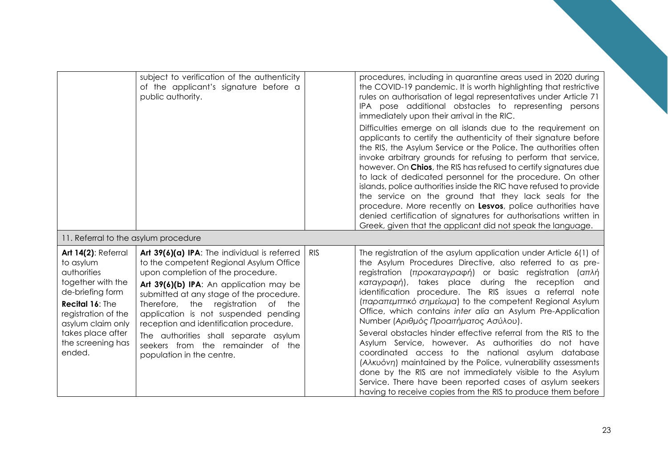|                                                                                                                                                                                                             | subject to verification of the authenticity<br>of the applicant's signature before a<br>public authority.                                                                                                                                                                                                                                                                                                                                                     |            | procedures, including in quarantine areas used in 2020 during<br>the COVID-19 pandemic. It is worth highlighting that restrictive<br>rules on authorisation of legal representatives under Article 71<br>IPA pose additional obstacles to representing persons<br>immediately upon their arrival in the RIC.<br>Difficulties emerge on all islands due to the requirement on<br>applicants to certify the authenticity of their signature before<br>the RIS, the Asylum Service or the Police. The authorities often<br>invoke arbitrary grounds for refusing to perform that service,<br>however. On Chios, the RIS has refused to certify signatures due<br>to lack of dedicated personnel for the procedure. On other<br>islands, police authorities inside the RIC have refused to provide<br>the service on the ground that they lack seals for the<br>procedure. More recently on Lesvos, police authorities have<br>denied certification of signatures for authorisations written in<br>Greek, given that the applicant did not speak the language. |
|-------------------------------------------------------------------------------------------------------------------------------------------------------------------------------------------------------------|---------------------------------------------------------------------------------------------------------------------------------------------------------------------------------------------------------------------------------------------------------------------------------------------------------------------------------------------------------------------------------------------------------------------------------------------------------------|------------|------------------------------------------------------------------------------------------------------------------------------------------------------------------------------------------------------------------------------------------------------------------------------------------------------------------------------------------------------------------------------------------------------------------------------------------------------------------------------------------------------------------------------------------------------------------------------------------------------------------------------------------------------------------------------------------------------------------------------------------------------------------------------------------------------------------------------------------------------------------------------------------------------------------------------------------------------------------------------------------------------------------------------------------------------------|
| 11. Referral to the asylum procedure                                                                                                                                                                        |                                                                                                                                                                                                                                                                                                                                                                                                                                                               |            |                                                                                                                                                                                                                                                                                                                                                                                                                                                                                                                                                                                                                                                                                                                                                                                                                                                                                                                                                                                                                                                            |
| Art 14(2): Referral<br>to asylum<br>authorities<br>together with the<br>de-briefing form<br>Recital 16: The<br>registration of the<br>asylum claim only<br>takes place after<br>the screening has<br>ended. | Art 39(6)(a) IPA: The individual is referred<br>to the competent Regional Asylum Office<br>upon completion of the procedure.<br>Art 39(6)(b) IPA: An application may be<br>submitted at any stage of the procedure.<br>Therefore, the<br>registration of<br>the<br>application is not suspended pending<br>reception and identification procedure.<br>The authorities shall separate asylum<br>seekers from the remainder of the<br>population in the centre. | <b>RIS</b> | The registration of the asylum application under Article 6(1) of<br>the Asylum Procedures Directive, also referred to as pre-<br>registration (προκαταγραφή) or basic registration (απλή<br>καταγραφή), takes place during the reception<br>and<br>identification procedure. The RIS issues a referral note<br>(παραπεμπτικό σημείωμα) to the competent Regional Asylum<br>Office, which contains inter alia an Asylum Pre-Application<br>Number (Αριθμός Προαιτήματος Ασύλου).<br>Several obstacles hinder effective referral from the RIS to the<br>Asylum Service, however. As authorities do not have<br>coordinated access to the national asylum database<br>(Aλκυόνη) maintained by the Police, vulnerability assessments<br>done by the RIS are not immediately visible to the Asylum<br>Service. There have been reported cases of asylum seekers<br>having to receive copies from the RIS to produce them before                                                                                                                                 |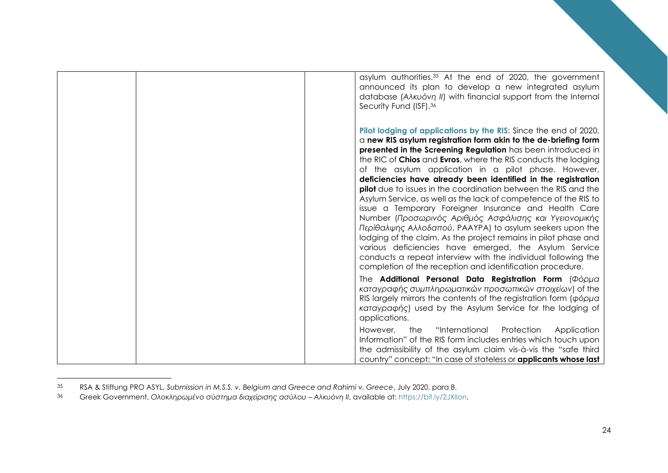| asylum authorities. <sup>35</sup> At the end of 2020, the government<br>announced its plan to develop a new integrated asylum<br>database (A $\lambda$ Kuo'vn II) with financial support from the Internal<br>Security Fund (ISF). <sup>36</sup>                                                                                                                                                                                                                                                                                                                                                                                                                                                                                                                                                                                                                                                                                                                                    |
|-------------------------------------------------------------------------------------------------------------------------------------------------------------------------------------------------------------------------------------------------------------------------------------------------------------------------------------------------------------------------------------------------------------------------------------------------------------------------------------------------------------------------------------------------------------------------------------------------------------------------------------------------------------------------------------------------------------------------------------------------------------------------------------------------------------------------------------------------------------------------------------------------------------------------------------------------------------------------------------|
| Pilot lodging of applications by the RIS: Since the end of 2020,<br>a new RIS asylum registration form akin to the de-briefing form<br>presented in the Screening Regulation has been introduced in<br>the RIC of Chios and Evros, where the RIS conducts the lodging<br>of the asylum application in a pilot phase. However,<br>deficiencies have already been identified in the registration<br><b>pilot</b> due to issues in the coordination between the RIS and the<br>Asylum Service, as well as the lack of competence of the RIS to<br>issue a Temporary Foreigner Insurance and Health Care<br>Number (Προσωρινός Αριθμός Ασφάλισης και Υγειονομικής<br>Περίθαλψης Αλλοδαπού, PAAYPA) to asylum seekers upon the<br>lodging of the claim. As the project remains in pilot phase and<br>various deficiencies have emerged, the Asylum Service<br>conducts a repeat interview with the individual following the<br>completion of the reception and identification procedure. |
| The Additional Personal Data Registration Form (Φόρμα<br>καταγραφής συμπληρωματικών προσωπικών στοιχείων) of the<br>RIS largely mirrors the contents of the registration form ( $\phi \phi \rho \mu \sigma$ )<br>καταγραφής) used by the Asylum Service for the lodging of<br>applications.                                                                                                                                                                                                                                                                                                                                                                                                                                                                                                                                                                                                                                                                                         |
| "International<br>However,<br>Protection<br>the<br>Application<br>Information" of the RIS form includes entries which touch upon<br>the admissibility of the asylum claim vis-à-vis the "safe third<br>country" concept: "In case of stateless or <b>applicants whose last</b>                                                                                                                                                                                                                                                                                                                                                                                                                                                                                                                                                                                                                                                                                                      |

<sup>35</sup> RSA & Stiftung PRO ASYL, *Submission in M.S.S. v. Belgium and Greece and Rahimi v. Greece*, July 2020, para 8.

<sup>36</sup> Greek Government, *Ολοκληρωμένο σύστημα διαχείρισης ασύλου – Αλκυόνη ΙΙ*, available at: [https://bit.ly/2JXIIon.](https://bit.ly/2JXIIon)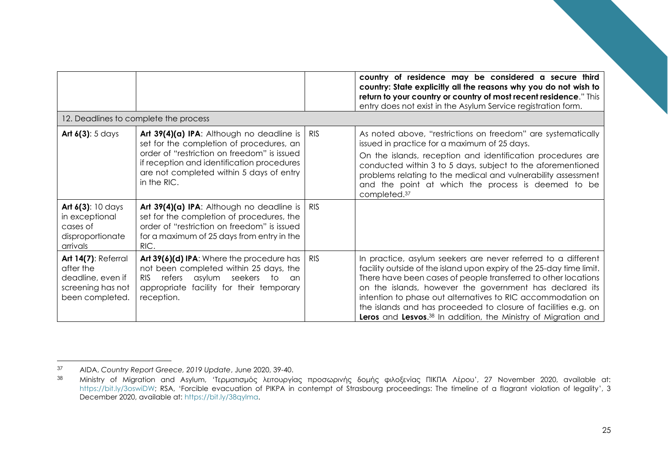|                                                                                                      |                                                                                                                                                                                                                                                 |            | country of residence may be considered a secure third<br>country: State explicitly all the reasons why you do not wish to<br>return to your country or country of most recent residence." This<br>entry does not exist in the Asylum Service registration form.                                                                                                                                                                                                                   |
|------------------------------------------------------------------------------------------------------|-------------------------------------------------------------------------------------------------------------------------------------------------------------------------------------------------------------------------------------------------|------------|-----------------------------------------------------------------------------------------------------------------------------------------------------------------------------------------------------------------------------------------------------------------------------------------------------------------------------------------------------------------------------------------------------------------------------------------------------------------------------------|
|                                                                                                      | 12. Deadlines to complete the process                                                                                                                                                                                                           |            |                                                                                                                                                                                                                                                                                                                                                                                                                                                                                   |
| Art $6(3)$ : 5 days                                                                                  | Art 39(4)(a) IPA: Although no deadline is  <br>set for the completion of procedures, an<br>order of "restriction on freedom" is issued<br>if reception and identification procedures<br>are not completed within 5 days of entry<br>in the RIC. | <b>RIS</b> | As noted above, "restrictions on freedom" are systematically<br>issued in practice for a maximum of 25 days.<br>On the islands, reception and identification procedures are<br>conducted within 3 to 5 days, subject to the aforementioned<br>problems relating to the medical and vulnerability assessment<br>and the point at which the process is deemed to be<br>completed. <sup>37</sup>                                                                                     |
| Art $6(3)$ : 10 days<br>in exceptional<br>cases of<br>disproportionate<br>arrivals                   | Art $39(4)(a)$ IPA: Although no deadline is  <br>set for the completion of procedures, the<br>order of "restriction on freedom" is issued<br>for a maximum of 25 days from entry in the<br>RIC.                                                 | <b>RIS</b> |                                                                                                                                                                                                                                                                                                                                                                                                                                                                                   |
| <b>Art 14(7): Referral</b><br>after the<br>deadline, even if<br>screening has not<br>been completed. | Art 39(6)(d) IPA: Where the procedure has  <br>not been completed within 25 days, the<br>asylum seekers<br>refers<br>RIS.<br>to t<br>an an<br>appropriate facility for their temporary<br>reception.                                            | <b>RIS</b> | In practice, asylum seekers are never referred to a different<br>facility outside of the island upon expiry of the 25-day time limit.<br>There have been cases of people transferred to other locations<br>on the islands, however the government has declared its<br>intention to phase out alternatives to RIC accommodation on<br>the islands and has proceeded to closure of facilities e.g. on<br>Leros and Lesvos. <sup>38</sup> In addition, the Ministry of Migration and |

<sup>37</sup> AIDA, *Country Report Greece, 2019 Update*, June 2020, 39-40.

<sup>38</sup> Ministry of Migration and Asylum, 'Τερματισμός λειτουργίας προσωρινής δομής φιλοξενίας ΠΙΚΠΑ Λέρου', 27 November 2020, available at: <https://bit.ly/3oswiDW>; RSA, 'Forcible evacuation of PIKPA in contempt of Strasbourg proceedings: The timeline of a flagrant violation of legality', 3 December 2020, available at[: https://bit.ly/38qylma.](https://bit.ly/38qylma)